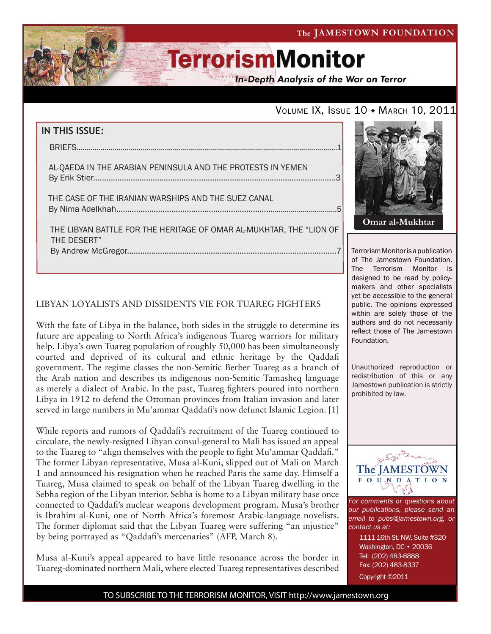**In-Depth Analysis of the War on Terror** 

## VOLUME IX, ISSUE 10 • MARCH 10, 2011

| IN THIS ISSUE:                                                                     |  |
|------------------------------------------------------------------------------------|--|
|                                                                                    |  |
| AL-QAEDA IN THE ARABIAN PENINSULA AND THE PROTESTS IN YEMEN                        |  |
| THE CASE OF THE IRANIAN WARSHIPS AND THE SUEZ CANAL                                |  |
| THE LIBYAN BATTLE FOR THE HERITAGE OF OMAR AL-MUKHTAR, THE "LION OF<br>THE DESERT" |  |

### LIBYAN LOYALISTS AND DISSIDENTS VIE FOR TUAREG FIGHTERS

With the fate of Libya in the balance, both sides in the struggle to determine its future are appealing to North Africa's indigenous Tuareg warriors for military help. Libya's own Tuareg population of roughly 50,000 has been simultaneously courted and deprived of its cultural and ethnic heritage by the Qaddafi government. The regime classes the non-Semitic Berber Tuareg as a branch of the Arab nation and describes its indigenous non-Semitic Tamasheq language as merely a dialect of Arabic. In the past, Tuareg fighters poured into northern Libya in 1912 to defend the Ottoman provinces from Italian invasion and later served in large numbers in Mu'ammar Qaddafi's now defunct Islamic Legion. [1]

While reports and rumors of Qaddafi's recruitment of the Tuareg continued to circulate, the newly-resigned Libyan consul-general to Mali has issued an appeal to the Tuareg to "align themselves with the people to fight Mu'ammar Qaddafi." The former Libyan representative, Musa al-Kuni, slipped out of Mali on March 1 and announced his resignation when he reached Paris the same day. Himself a Tuareg, Musa claimed to speak on behalf of the Libyan Tuareg dwelling in the Sebha region of the Libyan interior. Sebha is home to a Libyan military base once connected to Qaddafi's nuclear weapons development program. Musa's brother is Ibrahim al-Kuni, one of North Africa's foremost Arabic-language novelists. The former diplomat said that the Libyan Tuareg were suffering "an injustice" by being portrayed as "Qaddafi's mercenaries" (AFP, March 8).

Musa al-Kuni's appeal appeared to have little resonance across the border in Tuareg-dominated northern Mali, where elected Tuareg representatives described



Terrorism Monitor is a publication of The Jamestown Foundation. The Terrorism Monitor is designed to be read by policymakers and other specialists yet be accessible to the general public. The opinions expressed within are solely those of the authors and do not necessarily reflect those of The Jamestown Foundation.

Unauthorized reproduction or redistribution of this or any Jamestown publication is strictly prohibited by law.



*For comments or questions about our publications, please send an email to pubs@jamestown.org, or contact us at:* 

> 1111 16th St. NW, Suite #320 Washington, DC • 20036 Tel: (202) 483-8888 Fax: (202) 483-8337 Copyright ©2011

TO SUBSCRIBE TO THE TERRORISM MONITOR, VISIT http://www.jamestown.org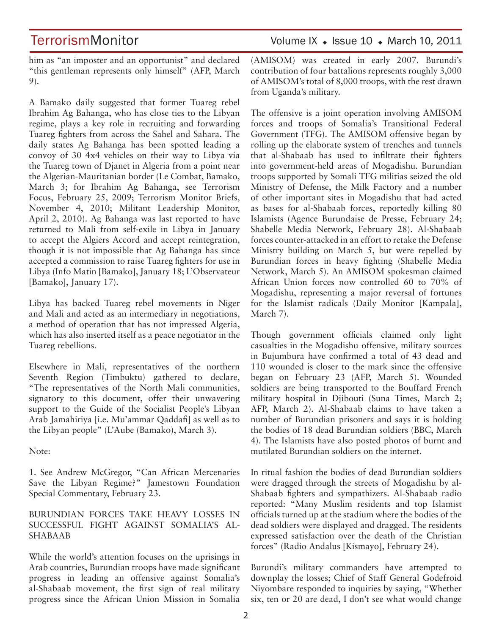TerrorismMonitor Volume IX + Issue 10 + March 10, 2011

him as "an imposter and an opportunist" and declared "this gentleman represents only himself" (AFP, March 9).

A Bamako daily suggested that former Tuareg rebel Ibrahim Ag Bahanga, who has close ties to the Libyan regime, plays a key role in recruiting and forwarding Tuareg fighters from across the Sahel and Sahara. The daily states Ag Bahanga has been spotted leading a convoy of 30 4x4 vehicles on their way to Libya via the Tuareg town of Djanet in Algeria from a point near the Algerian-Mauritanian border (Le Combat, Bamako, March 3; for Ibrahim Ag Bahanga, see Terrorism Focus, February 25, 2009; Terrorism Monitor Briefs, November 4, 2010; Militant Leadership Monitor, April 2, 2010). Ag Bahanga was last reported to have returned to Mali from self-exile in Libya in January to accept the Algiers Accord and accept reintegration, though it is not impossible that Ag Bahanga has since accepted a commission to raise Tuareg fighters for use in Libya (Info Matin [Bamako], January 18; L'Observateur [Bamako], January 17).

Libya has backed Tuareg rebel movements in Niger and Mali and acted as an intermediary in negotiations, a method of operation that has not impressed Algeria, which has also inserted itself as a peace negotiator in the Tuareg rebellions.

Elsewhere in Mali, representatives of the northern Seventh Region (Timbuktu) gathered to declare, "The representatives of the North Mali communities, signatory to this document, offer their unwavering support to the Guide of the Socialist People's Libyan Arab Jamahiriya [i.e. Mu'ammar Qaddafi] as well as to the Libyan people" (L'Aube (Bamako), March 3).

Note:

1. See Andrew McGregor, "Can African Mercenaries Save the Libyan Regime?" Jamestown Foundation Special Commentary, February 23.

### BURUNDIAN FORCES TAKE HEAVY LOSSES IN SUCCESSFUL FIGHT AGAINST SOMALIA'S AL-SHABAAB

While the world's attention focuses on the uprisings in Arab countries, Burundian troops have made significant progress in leading an offensive against Somalia's al-Shabaab movement, the first sign of real military progress since the African Union Mission in Somalia (AMISOM) was created in early 2007. Burundi's contribution of four battalions represents roughly 3,000 of AMISOM's total of 8,000 troops, with the rest drawn from Uganda's military.

The offensive is a joint operation involving AMISOM forces and troops of Somalia's Transitional Federal Government (TFG). The AMISOM offensive began by rolling up the elaborate system of trenches and tunnels that al-Shabaab has used to infiltrate their fighters into government-held areas of Mogadishu. Burundian troops supported by Somali TFG militias seized the old Ministry of Defense, the Milk Factory and a number of other important sites in Mogadishu that had acted as bases for al-Shabaab forces, reportedly killing 80 Islamists (Agence Burundaise de Presse, February 24; Shabelle Media Network, February 28). Al-Shabaab forces counter-attacked in an effort to retake the Defense Ministry building on March 5, but were repelled by Burundian forces in heavy fighting (Shabelle Media Network, March 5). An AMISOM spokesman claimed African Union forces now controlled 60 to 70% of Mogadishu, representing a major reversal of fortunes for the Islamist radicals (Daily Monitor [Kampala], March 7).

Though government officials claimed only light casualties in the Mogadishu offensive, military sources in Bujumbura have confirmed a total of 43 dead and 110 wounded is closer to the mark since the offensive began on February 23 (AFP, March 5). Wounded soldiers are being transported to the Bouffard French military hospital in Djibouti (Suna Times, March 2; AFP, March 2). Al-Shabaab claims to have taken a number of Burundian prisoners and says it is holding the bodies of 18 dead Burundian soldiers (BBC, March 4). The Islamists have also posted photos of burnt and mutilated Burundian soldiers on the internet.

In ritual fashion the bodies of dead Burundian soldiers were dragged through the streets of Mogadishu by al-Shabaab fighters and sympathizers. Al-Shabaab radio reported: "Many Muslim residents and top Islamist officials turned up at the stadium where the bodies of the dead soldiers were displayed and dragged. The residents expressed satisfaction over the death of the Christian forces" (Radio Andalus [Kismayo], February 24).

Burundi's military commanders have attempted to downplay the losses; Chief of Staff General Godefroid Niyombare responded to inquiries by saying, "Whether six, ten or 20 are dead, I don't see what would change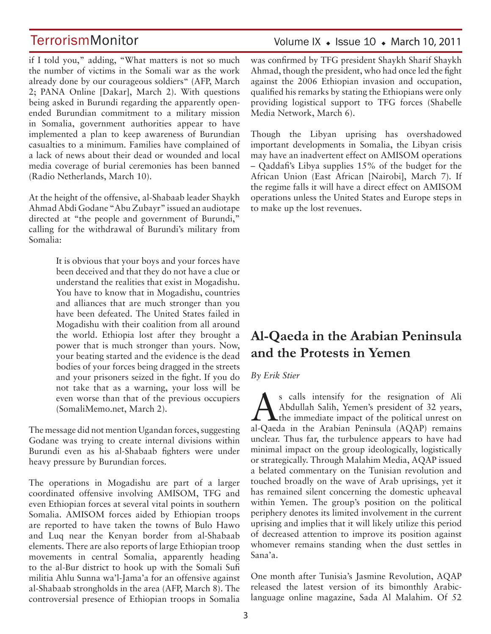if I told you," adding, "What matters is not so much the number of victims in the Somali war as the work already done by our courageous soldiers" (AFP, March 2; PANA Online [Dakar], March 2). With questions being asked in Burundi regarding the apparently openended Burundian commitment to a military mission in Somalia, government authorities appear to have implemented a plan to keep awareness of Burundian casualties to a minimum. Families have complained of a lack of news about their dead or wounded and local media coverage of burial ceremonies has been banned (Radio Netherlands, March 10).

At the height of the offensive, al-Shabaab leader Shaykh Ahmad Abdi Godane "Abu Zubayr" issued an audiotape directed at "the people and government of Burundi," calling for the withdrawal of Burundi's military from Somalia:

> It is obvious that your boys and your forces have been deceived and that they do not have a clue or understand the realities that exist in Mogadishu. You have to know that in Mogadishu, countries and alliances that are much stronger than you have been defeated. The United States failed in Mogadishu with their coalition from all around the world. Ethiopia lost after they brought a power that is much stronger than yours. Now, your beating started and the evidence is the dead bodies of your forces being dragged in the streets and your prisoners seized in the fight. If you do not take that as a warning, your loss will be even worse than that of the previous occupiers (SomaliMemo.net, March 2).

The message did not mention Ugandan forces, suggesting Godane was trying to create internal divisions within Burundi even as his al-Shabaab fighters were under heavy pressure by Burundian forces.

The operations in Mogadishu are part of a larger coordinated offensive involving AMISOM, TFG and even Ethiopian forces at several vital points in southern Somalia. AMISOM forces aided by Ethiopian troops are reported to have taken the towns of Bulo Hawo and Luq near the Kenyan border from al-Shabaab elements. There are also reports of large Ethiopian troop movements in central Somalia, apparently heading to the al-Bur district to hook up with the Somali Sufi militia Ahlu Sunna wa'l-Jama'a for an offensive against al-Shabaab strongholds in the area (AFP, March 8). The controversial presence of Ethiopian troops in Somalia

## Volume IX  $\bullet$  Issue 10  $\bullet$  March 10, 2011

was confirmed by TFG president Shaykh Sharif Shaykh Ahmad, though the president, who had once led the fight against the 2006 Ethiopian invasion and occupation, qualified his remarks by stating the Ethiopians were only providing logistical support to TFG forces (Shabelle Media Network, March 6).

Though the Libyan uprising has overshadowed important developments in Somalia, the Libyan crisis may have an inadvertent effect on AMISOM operations – Qaddafi's Libya supplies 15% of the budget for the African Union (East African [Nairobi], March 7). If the regime falls it will have a direct effect on AMISOM operations unless the United States and Europe steps in to make up the lost revenues.

## **Al-Qaeda in the Arabian Peninsula and the Protests in Yemen**

#### *By Erik Stier*

S calls intensify for the resignation of Ali<br>Abdullah Salih, Yemen's president of 32 years,<br>the immediate impact of the political unrest on Abdullah Salih, Yemen's president of 32 years, the immediate impact of the political unrest on al-Qaeda in the Arabian Peninsula (AQAP) remains unclear. Thus far, the turbulence appears to have had minimal impact on the group ideologically, logistically or strategically. Through Malahim Media, AQAP issued a belated commentary on the Tunisian revolution and touched broadly on the wave of Arab uprisings, yet it has remained silent concerning the domestic upheaval within Yemen. The group's position on the political periphery denotes its limited involvement in the current uprising and implies that it will likely utilize this period of decreased attention to improve its position against whomever remains standing when the dust settles in Sana'a.

One month after Tunisia's Jasmine Revolution, AQAP released the latest version of its bimonthly Arabiclanguage online magazine, Sada Al Malahim. Of 52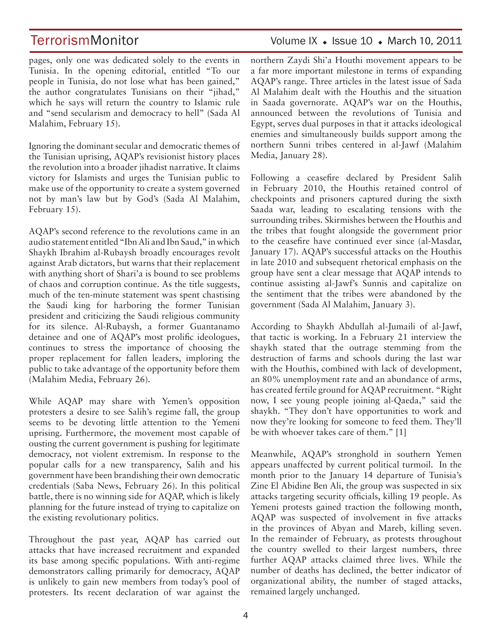TerrorismMonitor Volume IX + Issue 10 + March 10, 2011

pages, only one was dedicated solely to the events in Tunisia. In the opening editorial, entitled "To our people in Tunisia, do not lose what has been gained," the author congratulates Tunisians on their "jihad," which he says will return the country to Islamic rule and "send secularism and democracy to hell" (Sada Al Malahim, February 15).

Ignoring the dominant secular and democratic themes of the Tunisian uprising, AQAP's revisionist history places the revolution into a broader jihadist narrative. It claims victory for Islamists and urges the Tunisian public to make use of the opportunity to create a system governed not by man's law but by God's (Sada Al Malahim, February 15).

AQAP's second reference to the revolutions came in an audio statement entitled "Ibn Ali and Ibn Saud," in which Shaykh Ibrahim al-Rubaysh broadly encourages revolt against Arab dictators, but warns that their replacement with anything short of Shari'a is bound to see problems of chaos and corruption continue. As the title suggests, much of the ten-minute statement was spent chastising the Saudi king for harboring the former Tunisian president and criticizing the Saudi religious community for its silence. Al-Rubaysh, a former Guantanamo detainee and one of AQAP's most prolific ideologues, continues to stress the importance of choosing the proper replacement for fallen leaders, imploring the public to take advantage of the opportunity before them (Malahim Media, February 26).

While AQAP may share with Yemen's opposition protesters a desire to see Salih's regime fall, the group seems to be devoting little attention to the Yemeni uprising. Furthermore, the movement most capable of ousting the current government is pushing for legitimate democracy, not violent extremism. In response to the popular calls for a new transparency, Salih and his government have been brandishing their own democratic credentials (Saba News, February 26). In this political battle, there is no winning side for AQAP, which is likely planning for the future instead of trying to capitalize on the existing revolutionary politics.

Throughout the past year, AQAP has carried out attacks that have increased recruitment and expanded its base among specific populations. With anti-regime demonstrators calling primarily for democracy, AQAP is unlikely to gain new members from today's pool of protesters. Its recent declaration of war against the northern Zaydi Shi'a Houthi movement appears to be a far more important milestone in terms of expanding AQAP's range. Three articles in the latest issue of Sada Al Malahim dealt with the Houthis and the situation in Saada governorate. AQAP's war on the Houthis, announced between the revolutions of Tunisia and Egypt, serves dual purposes in that it attacks ideological enemies and simultaneously builds support among the northern Sunni tribes centered in al-Jawf (Malahim Media, January 28).

Following a ceasefire declared by President Salih in February 2010, the Houthis retained control of checkpoints and prisoners captured during the sixth Saada war, leading to escalating tensions with the surrounding tribes. Skirmishes between the Houthis and the tribes that fought alongside the government prior to the ceasefire have continued ever since (al-Masdar, January 17). AQAP's successful attacks on the Houthis in late 2010 and subsequent rhetorical emphasis on the group have sent a clear message that AQAP intends to continue assisting al-Jawf's Sunnis and capitalize on the sentiment that the tribes were abandoned by the government (Sada Al Malahim, January 3).

According to Shaykh Abdullah al-Jumaili of al-Jawf, that tactic is working. In a February 21 interview the shaykh stated that the outrage stemming from the destruction of farms and schools during the last war with the Houthis, combined with lack of development, an 80% unemployment rate and an abundance of arms, has created fertile ground for AQAP recruitment. "Right now, I see young people joining al-Qaeda," said the shaykh. "They don't have opportunities to work and now they're looking for someone to feed them. They'll be with whoever takes care of them." [1]

Meanwhile, AQAP's stronghold in southern Yemen appears unaffected by current political turmoil. In the month prior to the January 14 departure of Tunisia's Zine El Abidine Ben Ali, the group was suspected in six attacks targeting security officials, killing 19 people. As Yemeni protests gained traction the following month, AQAP was suspected of involvement in five attacks in the provinces of Abyan and Mareb, killing seven. In the remainder of February, as protests throughout the country swelled to their largest numbers, three further AQAP attacks claimed three lives. While the number of deaths has declined, the better indicator of organizational ability, the number of staged attacks, remained largely unchanged.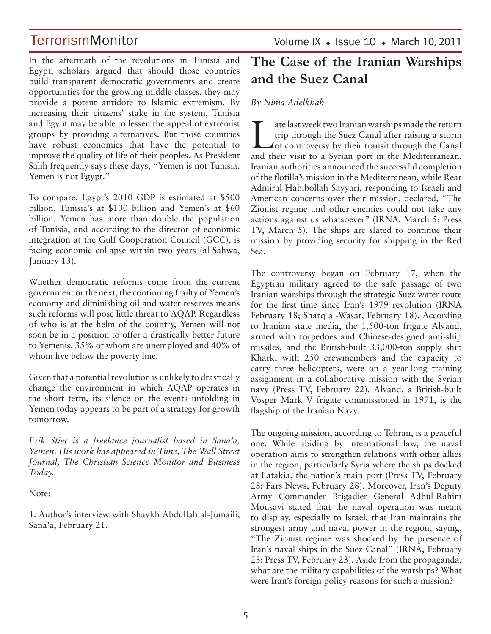In the aftermath of the revolutions in Tunisia and Egypt, scholars argued that should those countries build transparent democratic governments and create opportunities for the growing middle classes, they may provide a potent antidote to Islamic extremism. By increasing their citizens' stake in the system, Tunisia and Egypt may be able to lessen the appeal of extremist groups by providing alternatives. But those countries have robust economies that have the potential to improve the quality of life of their peoples. As President Salih frequently says these days, "Yemen is not Tunisia. Yemen is not Egypt."

To compare, Egypt's 2010 GDP is estimated at \$500 billion, Tunisia's at \$100 billion and Yemen's at \$60 billion. Yemen has more than double the population of Tunisia, and according to the director of economic integration at the Gulf Cooperation Council (GCC), is facing economic collapse within two years (al-Sahwa, January 13).

Whether democratic reforms come from the current government or the next, the continuing frailty of Yemen's economy and diminishing oil and water reserves means such reforms will pose little threat to AQAP. Regardless of who is at the helm of the country, Yemen will not soon be in a position to offer a drastically better future to Yemenis, 35% of whom are unemployed and 40% of whom live below the poverty line.

Given that a potential revolution is unlikely to drastically change the environment in which AQAP operates in the short term, its silence on the events unfolding in Yemen today appears to be part of a strategy for growth tomorrow.

*Erik Stier is a freelance journalist based in Sana'a, Yemen. His work has appeared in Time, The Wall Street Journal, The Christian Science Monitor and Business Today.*

Note:

1. Author's interview with Shaykh Abdullah al-Jumaili, Sana'a, February 21.

Volume IX  $\bullet$  Issue 10  $\bullet$  March 10, 2011

## **The Case of the Iranian Warships and the Suez Canal**

*By Nima Adelkhah* 

The last week two Iranian warships made the return<br>trip through the Suez Canal after raising a storm<br>of controversy by their transit through the Canal<br>and their wist to a Swisp port in the Moditerranean trip through the Suez Canal after raising a storm and their visit to a Syrian port in the Mediterranean. Iranian authorities announced the successful completion of the flotilla's mission in the Mediterranean, while Rear Admiral Habibollah Sayyari, responding to Israeli and American concerns over their mission, declared, "The Zionist regime and other enemies could not take any actions against us whatsoever" (IRNA, March 5; Press TV, March 5). The ships are slated to continue their mission by providing security for shipping in the Red Sea.

The controversy began on February 17, when the Egyptian military agreed to the safe passage of two Iranian warships through the strategic Suez water route for the first time since Iran's 1979 revolution (IRNA February 18; Sharq al-Wasat, February 18). According to Iranian state media, the 1,500-ton frigate Alvand, armed with torpedoes and Chinese-designed anti-ship missiles, and the British-built 33,000-ton supply ship Khark, with 250 crewmembers and the capacity to carry three helicopters, were on a year-long training assignment in a collaborative mission with the Syrian navy (Press TV, February 22). Alvand, a British-built Vosper Mark V frigate commissioned in 1971, is the flagship of the Iranian Navy.

The ongoing mission, according to Tehran, is a peaceful one. While abiding by international law, the naval operation aims to strengthen relations with other allies in the region, particularly Syria where the ships docked at Latakia, the nation's main port (Press TV, February 28; Fars News, February 28). Moreover, Iran's Deputy Army Commander Brigadier General Adbul-Rahim Mousavi stated that the naval operation was meant to display, especially to Israel, that Iran maintains the strongest army and naval power in the region, saying, "The Zionist regime was shocked by the presence of Iran's naval ships in the Suez Canal" (IRNA, February 23; Press TV, February 23). Aside from the propaganda, what are the military capabilities of the warships? What were Iran's foreign policy reasons for such a mission?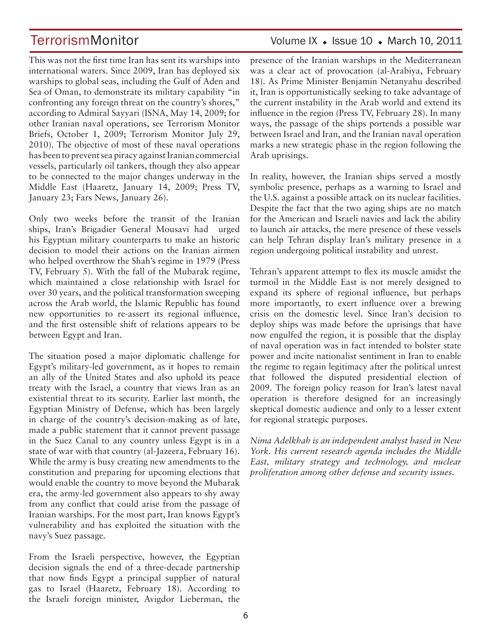## TerrorismMonitor Volume IX + Issue 10 + March 10, 2011

This was not the first time Iran has sent its warships into international waters. Since 2009, Iran has deployed six warships to global seas, including the Gulf of Aden and Sea of Oman, to demonstrate its military capability "in confronting any foreign threat on the country's shores," according to Admiral Sayyari (ISNA, May 14, 2009; for other Iranian naval operations, see Terrorism Monitor Briefs, October 1, 2009; Terrorism Monitor July 29, 2010). The objective of most of these naval operations has been to prevent sea piracy against Iranian commercial vessels, particularly oil tankers, though they also appear to be connected to the major changes underway in the Middle East (Haaretz, January 14, 2009; Press TV, January 23; Fars News, January 26).

Only two weeks before the transit of the Iranian ships, Iran's Brigadier General Mousavi had urged his Egyptian military counterparts to make an historic decision to model their actions on the Iranian airmen who helped overthrow the Shah's regime in 1979 (Press TV, February 5). With the fall of the Mubarak regime, which maintained a close relationship with Israel for over 30 years, and the political transformation sweeping across the Arab world, the Islamic Republic has found new opportunities to re-assert its regional influence, and the first ostensible shift of relations appears to be between Egypt and Iran.

The situation posed a major diplomatic challenge for Egypt's military-led government, as it hopes to remain an ally of the United States and also uphold its peace treaty with the Israel, a country that views Iran as an existential threat to its security. Earlier last month, the Egyptian Ministry of Defense, which has been largely in charge of the country's decision-making as of late, made a public statement that it cannot prevent passage in the Suez Canal to any country unless Egypt is in a state of war with that country (al-Jazeera, February 16). While the army is busy creating new amendments to the constitution and preparing for upcoming elections that would enable the country to move beyond the Mubarak era, the army-led government also appears to shy away from any conflict that could arise from the passage of Iranian warships. For the most part, Iran knows Egypt's vulnerability and has exploited the situation with the navy's Suez passage.

From the Israeli perspective, however, the Egyptian decision signals the end of a three-decade partnership that now finds Egypt a principal supplier of natural gas to Israel (Haaretz, February 18). According to the Israeli foreign minister, Avigdor Lieberman, the presence of the Iranian warships in the Mediterranean was a clear act of provocation (al-Arabiya, February 18). As Prime Minister Benjamin Netanyahu described it, Iran is opportunistically seeking to take advantage of the current instability in the Arab world and extend its influence in the region (Press TV, February 28). In many ways, the passage of the ships portends a possible war between Israel and Iran, and the Iranian naval operation marks a new strategic phase in the region following the Arab uprisings.

In reality, however, the Iranian ships served a mostly symbolic presence, perhaps as a warning to Israel and the U.S. against a possible attack on its nuclear facilities. Despite the fact that the two aging ships are no match for the American and Israeli navies and lack the ability to launch air attacks, the mere presence of these vessels can help Tehran display Iran's military presence in a region undergoing political instability and unrest.

Tehran's apparent attempt to flex its muscle amidst the turmoil in the Middle East is not merely designed to expand its sphere of regional influence, but perhaps more importantly, to exert influence over a brewing crisis on the domestic level. Since Iran's decision to deploy ships was made before the uprisings that have now engulfed the region, it is possible that the display of naval operation was in fact intended to bolster state power and incite nationalist sentiment in Iran to enable the regime to regain legitimacy after the political unrest that followed the disputed presidential election of 2009. The foreign policy reason for Iran's latest naval operation is therefore designed for an increasingly skeptical domestic audience and only to a lesser extent for regional strategic purposes.

*Nima Adelkhah is an independent analyst based in New York. His current research agenda includes the Middle East, military strategy and technology, and nuclear proliferation among other defense and security issues.*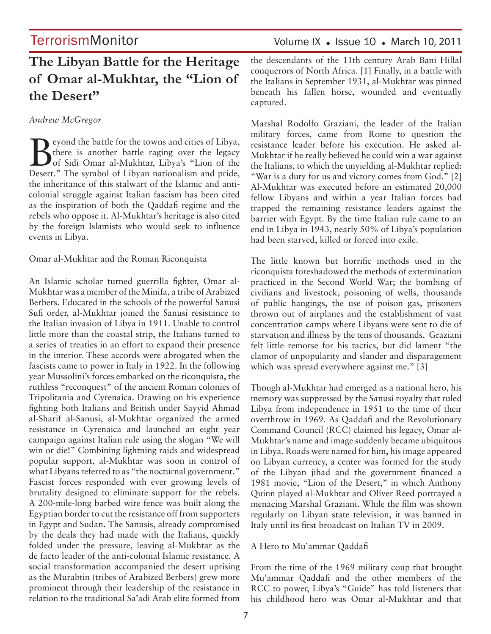## **The Libyan Battle for the Heritage of Omar al-Mukhtar, the "Lion of the Desert"**

### *Andrew McGregor*

Beyond the battle for the towns and cities of Libya,<br>there is another battle raging over the legacy<br>of Sidi Omar al-Mukhtar, Libya's "Lion of the there is another battle raging over the legacy of Sidi Omar al-Mukhtar, Libya's "Lion of the Desert." The symbol of Libyan nationalism and pride, the inheritance of this stalwart of the Islamic and anticolonial struggle against Italian fascism has been cited as the inspiration of both the Qaddafi regime and the rebels who oppose it. Al-Mukhtar's heritage is also cited by the foreign Islamists who would seek to influence events in Libya.

Omar al-Mukhtar and the Roman Riconquista

An Islamic scholar turned guerrilla fighter, Omar al-Mukhtar was a member of the Minifa, a tribe of Arabized Berbers. Educated in the schools of the powerful Sanusi Sufi order, al-Mukhtar joined the Sanusi resistance to the Italian invasion of Libya in 1911. Unable to control little more than the coastal strip, the Italians turned to a series of treaties in an effort to expand their presence in the interior. These accords were abrogated when the fascists came to power in Italy in 1922. In the following year Mussolini's forces embarked on the riconquista, the ruthless "reconquest" of the ancient Roman colonies of Tripolitania and Cyrenaica. Drawing on his experience fighting both Italians and British under Sayyid Ahmad al-Sharif al-Sanusi, al-Mukhtar organized the armed resistance in Cyrenaica and launched an eight year campaign against Italian rule using the slogan "We will win or die!" Combining lightning raids and widespread popular support, al-Mukhtar was soon in control of what Libyans referred to as "the nocturnal government." Fascist forces responded with ever growing levels of brutality designed to eliminate support for the rebels. A 200-mile-long barbed wire fence was built along the Egyptian border to cut the resistance off from supporters in Egypt and Sudan. The Sanusis, already compromised by the deals they had made with the Italians, quickly folded under the pressure, leaving al-Mukhtar as the de facto leader of the anti-colonial Islamic resistance. A social transformation accompanied the desert uprising as the Murabtin (tribes of Arabized Berbers) grew more prominent through their leadership of the resistance in relation to the traditional Sa'adi Arab elite formed from

the descendants of the 11th century Arab Bani Hillal conquerors of North Africa. [1] Finally, in a battle with the Italians in September 1931, al-Mukhtar was pinned beneath his fallen horse, wounded and eventually captured.

Marshal Rodolfo Graziani, the leader of the Italian military forces, came from Rome to question the resistance leader before his execution. He asked al-Mukhtar if he really believed he could win a war against the Italians, to which the unyielding al-Mukhtar replied: "War is a duty for us and victory comes from God." [2] Al-Mukhtar was executed before an estimated 20,000 fellow Libyans and within a year Italian forces had trapped the remaining resistance leaders against the barrier with Egypt. By the time Italian rule came to an end in Libya in 1943, nearly 50% of Libya's population had been starved, killed or forced into exile.

The little known but horrific methods used in the riconquista foreshadowed the methods of extermination practiced in the Second World War; the bombing of civilians and livestock, poisoning of wells, thousands of public hangings, the use of poison gas, prisoners thrown out of airplanes and the establishment of vast concentration camps where Libyans were sent to die of starvation and illness by the tens of thousands. Graziani felt little remorse for his tactics, but did lament "the clamor of unpopularity and slander and disparagement which was spread everywhere against me." [3]

Though al-Mukhtar had emerged as a national hero, his memory was suppressed by the Sanusi royalty that ruled Libya from independence in 1951 to the time of their overthrow in 1969. As Qaddafi and the Revolutionary Command Council (RCC) claimed his legacy, Omar al-Mukhtar's name and image suddenly became ubiquitous in Libya. Roads were named for him, his image appeared on Libyan currency, a center was formed for the study of the Libyan jihad and the government financed a 1981 movie, "Lion of the Desert," in which Anthony Quinn played al-Mukhtar and Oliver Reed portrayed a menacing Marshal Graziani. While the film was shown regularly on Libyan state television, it was banned in Italy until its first broadcast on Italian TV in 2009.

### A Hero to Mu'ammar Qaddafi

From the time of the 1969 military coup that brought Mu'ammar Qaddafi and the other members of the RCC to power, Libya's "Guide" has told listeners that his childhood hero was Omar al-Mukhtar and that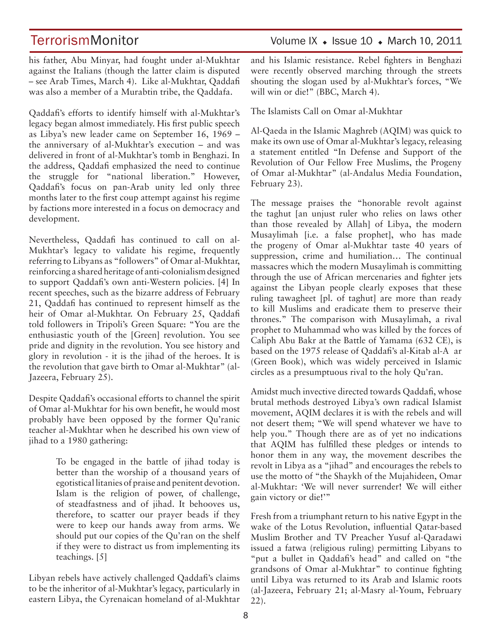his father, Abu Minyar, had fought under al-Mukhtar against the Italians (though the latter claim is disputed – see Arab Times, March 4). Like al-Mukhtar, Qaddafi was also a member of a Murabtin tribe, the Qaddafa.

Qaddafi's efforts to identify himself with al-Mukhtar's legacy began almost immediately. His first public speech as Libya's new leader came on September 16, 1969 – the anniversary of al-Mukhtar's execution – and was delivered in front of al-Mukhtar's tomb in Benghazi. In the address, Qaddafi emphasized the need to continue the struggle for "national liberation." However, Qaddafi's focus on pan-Arab unity led only three months later to the first coup attempt against his regime by factions more interested in a focus on democracy and development.

Nevertheless, Qaddafi has continued to call on al-Mukhtar's legacy to validate his regime, frequently referring to Libyans as "followers" of Omar al-Mukhtar, reinforcing a shared heritage of anti-colonialism designed to support Qaddafi's own anti-Western policies. [4] In recent speeches, such as the bizarre address of February 21, Qaddafi has continued to represent himself as the heir of Omar al-Mukhtar. On February 25, Qaddafi told followers in Tripoli's Green Square: "You are the enthusiastic youth of the [Green] revolution. You see pride and dignity in the revolution. You see history and glory in revolution - it is the jihad of the heroes. It is the revolution that gave birth to Omar al-Mukhtar" (al-Jazeera, February 25).

Despite Qaddafi's occasional efforts to channel the spirit of Omar al-Mukhtar for his own benefit, he would most probably have been opposed by the former Qu'ranic teacher al-Mukhtar when he described his own view of jihad to a 1980 gathering:

> To be engaged in the battle of jihad today is better than the worship of a thousand years of egotistical litanies of praise and penitent devotion. Islam is the religion of power, of challenge, of steadfastness and of jihad. It behooves us, therefore, to scatter our prayer beads if they were to keep our hands away from arms. We should put our copies of the Qu'ran on the shelf if they were to distract us from implementing its teachings. [5]

Libyan rebels have actively challenged Qaddafi's claims to be the inheritor of al-Mukhtar's legacy, particularly in eastern Libya, the Cyrenaican homeland of al-Mukhtar and his Islamic resistance. Rebel fighters in Benghazi were recently observed marching through the streets shouting the slogan used by al-Mukhtar's forces, "We will win or die!" (BBC, March 4).

The Islamists Call on Omar al-Mukhtar

Al-Qaeda in the Islamic Maghreb (AQIM) was quick to make its own use of Omar al-Mukhtar's legacy, releasing a statement entitled "In Defense and Support of the Revolution of Our Fellow Free Muslims, the Progeny of Omar al-Mukhtar" (al-Andalus Media Foundation, February 23).

The message praises the "honorable revolt against the taghut [an unjust ruler who relies on laws other than those revealed by Allah] of Libya, the modern Musaylimah [i.e. a false prophet], who has made the progeny of Omar al-Mukhtar taste 40 years of suppression, crime and humiliation… The continual massacres which the modern Musaylimah is committing through the use of African mercenaries and fighter jets against the Libyan people clearly exposes that these ruling tawagheet [pl. of taghut] are more than ready to kill Muslims and eradicate them to preserve their thrones." The comparison with Musaylimah, a rival prophet to Muhammad who was killed by the forces of Caliph Abu Bakr at the Battle of Yamama (632 CE), is based on the 1975 release of Qaddafi's al-Kitab al-A ar (Green Book), which was widely perceived in Islamic circles as a presumptuous rival to the holy Qu'ran.

Amidst much invective directed towards Qaddafi, whose brutal methods destroyed Libya's own radical Islamist movement, AQIM declares it is with the rebels and will not desert them; "We will spend whatever we have to help you." Though there are as of yet no indications that AQIM has fulfilled these pledges or intends to honor them in any way, the movement describes the revolt in Libya as a "jihad" and encourages the rebels to use the motto of "the Shaykh of the Mujahideen, Omar al-Mukhtar: 'We will never surrender! We will either gain victory or die!'"

Fresh from a triumphant return to his native Egypt in the wake of the Lotus Revolution, influential Qatar-based Muslim Brother and TV Preacher Yusuf al-Qaradawi issued a fatwa (religious ruling) permitting Libyans to "put a bullet in Qaddafi's head" and called on "the grandsons of Omar al-Mukhtar" to continue fighting until Libya was returned to its Arab and Islamic roots (al-Jazeera, February 21; al-Masry al-Youm, February 22).

## TerrorismMonitor Volume IX + Issue 10 + March 10, 2011